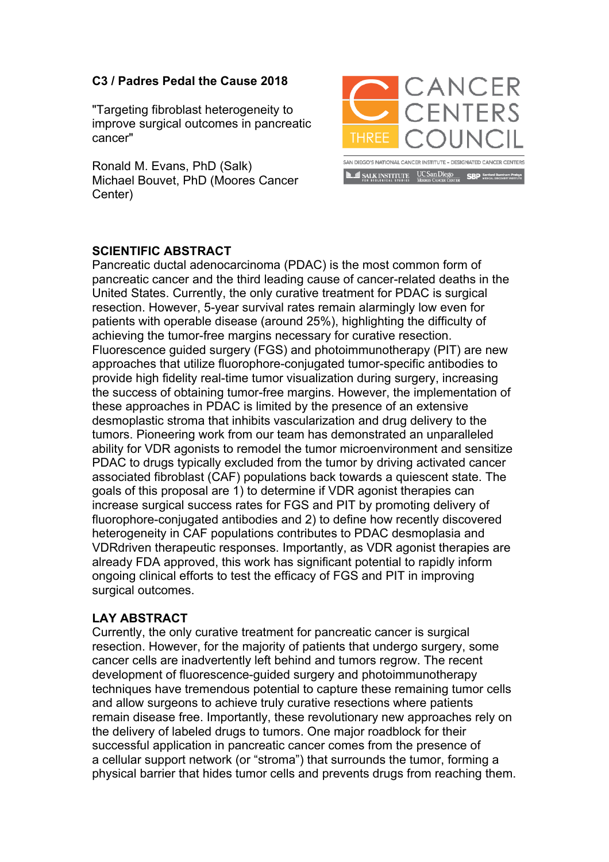## **C3 / Padres Pedal the Cause 2018**

"Targeting fibroblast heterogeneity to improve surgical outcomes in pancreatic cancer"

Ronald M. Evans, PhD (Salk) Michael Bouvet, PhD (Moores Cancer Center)



## **SCIENTIFIC ABSTRACT**

Pancreatic ductal adenocarcinoma (PDAC) is the most common form of pancreatic cancer and the third leading cause of cancer-related deaths in the United States. Currently, the only curative treatment for PDAC is surgical resection. However, 5-year survival rates remain alarmingly low even for patients with operable disease (around 25%), highlighting the difficulty of achieving the tumor-free margins necessary for curative resection. Fluorescence guided surgery (FGS) and photoimmunotherapy (PIT) are new approaches that utilize fluorophore-conjugated tumor-specific antibodies to provide high fidelity real-time tumor visualization during surgery, increasing the success of obtaining tumor-free margins. However, the implementation of these approaches in PDAC is limited by the presence of an extensive desmoplastic stroma that inhibits vascularization and drug delivery to the tumors. Pioneering work from our team has demonstrated an unparalleled ability for VDR agonists to remodel the tumor microenvironment and sensitize PDAC to drugs typically excluded from the tumor by driving activated cancer associated fibroblast (CAF) populations back towards a quiescent state. The goals of this proposal are 1) to determine if VDR agonist therapies can increase surgical success rates for FGS and PIT by promoting delivery of fluorophore-conjugated antibodies and 2) to define how recently discovered heterogeneity in CAF populations contributes to PDAC desmoplasia and VDRdriven therapeutic responses. Importantly, as VDR agonist therapies are already FDA approved, this work has significant potential to rapidly inform ongoing clinical efforts to test the efficacy of FGS and PIT in improving surgical outcomes.

## **LAY ABSTRACT**

Currently, the only curative treatment for pancreatic cancer is surgical resection. However, for the majority of patients that undergo surgery, some cancer cells are inadvertently left behind and tumors regrow. The recent development of fluorescence-guided surgery and photoimmunotherapy techniques have tremendous potential to capture these remaining tumor cells and allow surgeons to achieve truly curative resections where patients remain disease free. Importantly, these revolutionary new approaches rely on the delivery of labeled drugs to tumors. One major roadblock for their successful application in pancreatic cancer comes from the presence of a cellular support network (or "stroma") that surrounds the tumor, forming a physical barrier that hides tumor cells and prevents drugs from reaching them.